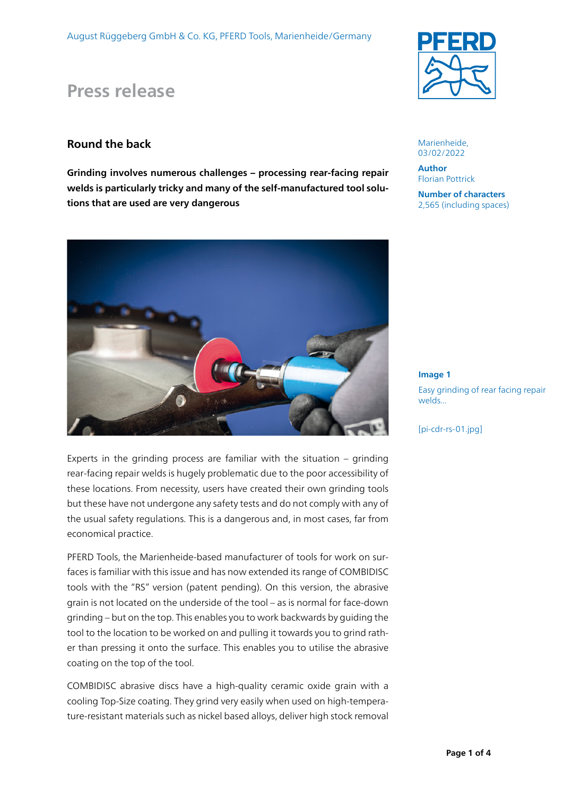# **Press release**

## **Round the back**

**Grinding involves numerous challenges – processing rear-facing repair welds is particularly tricky and many of the self-manufactured tool solutions that are used are very dangerous** 



Experts in the grinding process are familiar with the situation – grinding rear-facing repair welds is hugely problematic due to the poor accessibility of these locations. From necessity, users have created their own grinding tools but these have not undergone any safety tests and do not comply with any of the usual safety regulations. This is a dangerous and, in most cases, far from economical practice.

PFERD Tools, the Marienheide-based manufacturer of tools for work on surfaces is familiar with this issue and has now extended its range of COMBIDISC tools with the "RS" version (patent pending). On this version, the abrasive grain is not located on the underside of the tool – as is normal for face-down grinding – but on the top. This enables you to work backwards by guiding the tool to the location to be worked on and pulling it towards you to grind rather than pressing it onto the surface. This enables you to utilise the abrasive coating on the top of the tool.

COMBIDISC abrasive discs have a high-quality ceramic oxide grain with a cooling Top-Size coating. They grind very easily when used on high-temperature-resistant materials such as nickel based alloys, deliver high stock removal



Marienheide, 03/02/2022

**Author** Florian Pottrick

**Number of characters**  2,565 (including spaces)

**Image 1** Easy grinding of rear facing repair welds...

[pi-cdr-rs-01.jpg]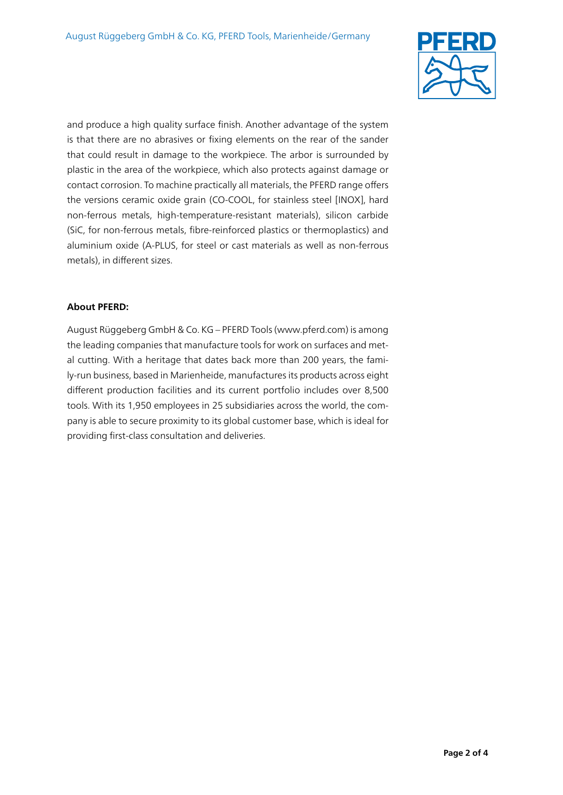

and produce a high quality surface finish. Another advantage of the system is that there are no abrasives or fixing elements on the rear of the sander that could result in damage to the workpiece. The arbor is surrounded by plastic in the area of the workpiece, which also protects against damage or contact corrosion. To machine practically all materials, the PFERD range offers the versions ceramic oxide grain (CO-COOL, for stainless steel [INOX], hard non-ferrous metals, high-temperature-resistant materials), silicon carbide (SiC, for non-ferrous metals, fibre-reinforced plastics or thermoplastics) and aluminium oxide (A-PLUS, for steel or cast materials as well as non-ferrous metals), in different sizes.

#### **About PFERD:**

August Rüggeberg GmbH & Co. KG – PFERD Tools (www.pferd.com) is among the leading companies that manufacture tools for work on surfaces and metal cutting. With a heritage that dates back more than 200 years, the family-run business, based in Marienheide, manufactures its products across eight different production facilities and its current portfolio includes over 8,500 tools. With its 1,950 employees in 25 subsidiaries across the world, the company is able to secure proximity to its global customer base, which is ideal for providing first-class consultation and deliveries.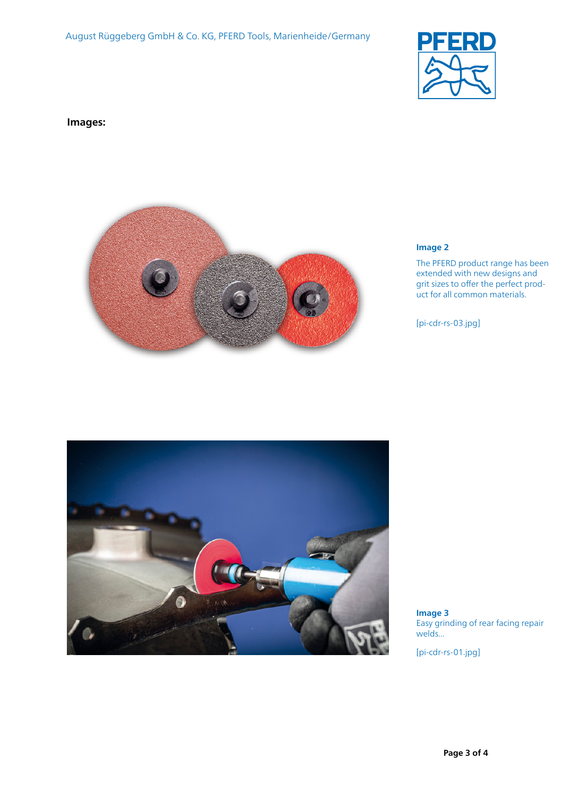

**Images:**



#### **Image 2**

The PFERD product range has been extended with new designs and grit sizes to offer the perfect product for all common materials.

[pi-cdr-rs-03.jpg]



**Image 3** Easy grinding of rear facing repair welds...

[pi-cdr-rs-01.jpg]